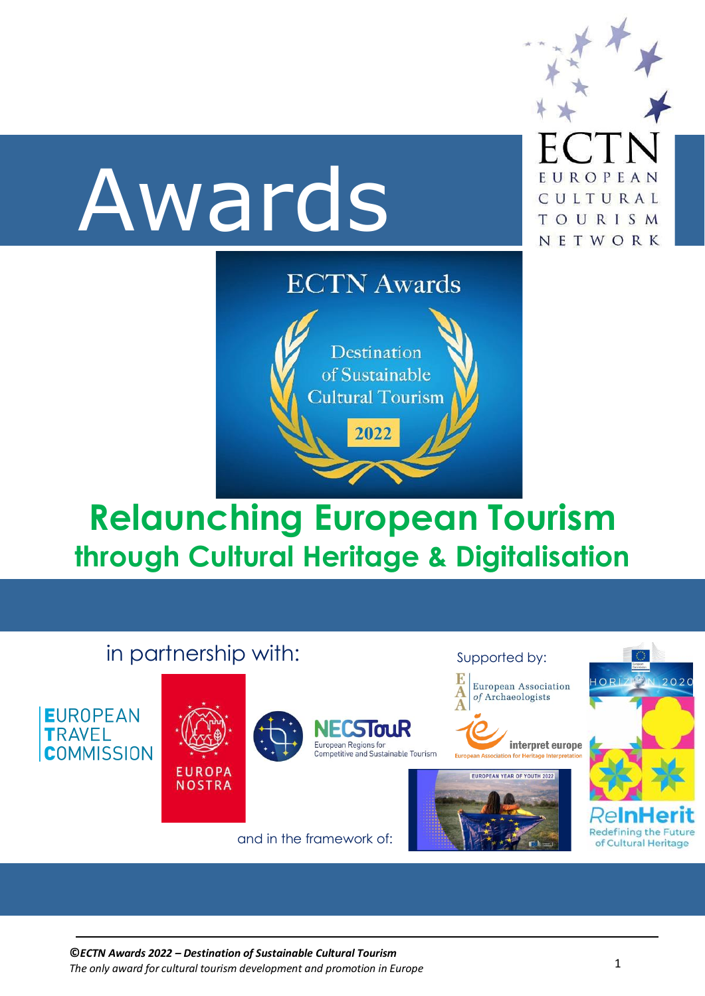

# **Relaunching European Tourism through Cultural Heritage & Digitalisation**

| in partnership with:                                  |                                |  |                                                                                                            | Supported by:                                                                                                                                           | $\langle \rangle$                                                                        |
|-------------------------------------------------------|--------------------------------|--|------------------------------------------------------------------------------------------------------------|---------------------------------------------------------------------------------------------------------------------------------------------------------|------------------------------------------------------------------------------------------|
| <b>EUROPEAN</b><br><b>TRAVEL</b><br><b>COMMISSION</b> | <b>EUROPA</b><br><b>NOSTRA</b> |  | <b>NECSTOUR</b><br>European Regions for<br>Competitive and Sustainable Tourism<br>and in the framework of: | European Association<br>of Archaeologists<br>interpret europe<br><b>European Association for Heritage Interpretation</b><br>EUROPEAN YEAR OF YOUTH 2022 | HORL<br>2020<br><b>ReInHerit</b><br><b>Redefining the Future</b><br>of Cultural Heritage |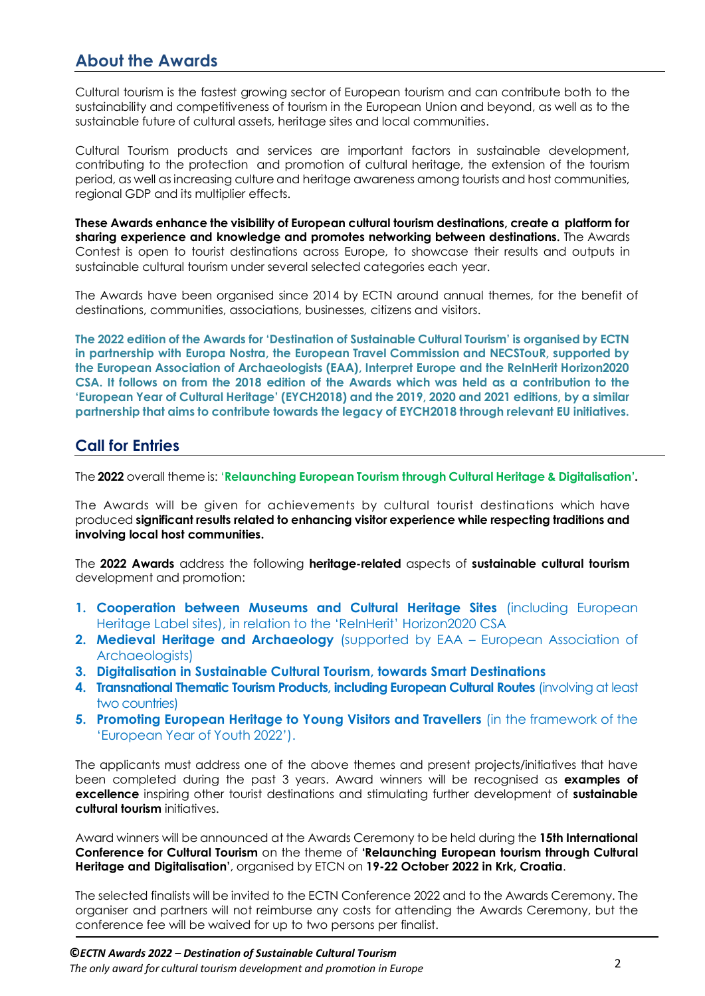# **About the Awards**

Cultural tourism is the fastest growing sector of European tourism and can contribute both to the sustainability and competitiveness of tourism in the European Union and beyond, as well as to the sustainable future of cultural assets, heritage sites and local communities.

Cultural Tourism products and services are important factors in sustainable development, contributing to the protection and promotion of cultural heritage, the extension of the tourism period, as well as increasing culture and heritage awareness among tourists and host communities, regional GDP and its multiplier effects.

**These Awards enhance the visibility of European cultural tourism destinations, create a platform for sharing experience and knowledge and promotes networking between destinations.** The Awards Contest is open to tourist destinations across Europe, to showcase their results and outputs in sustainable cultural tourism under several selected categories each year.

The Awards have been organised since 2014 by ECTN around annual themes, for the benefit of destinations, communities, associations, businesses, citizens and visitors.

**The 2022 edition of the Awards for 'Destination of Sustainable Cultural Tourism' is organised by ECTN in partnership with Europa Nostra, the European Travel Commission and NECSTouR, supported by the European Association of Archaeologists (EAA), Interpret Europe and the ReInHerit Horizon2020 CSA. It follows on from the 2018 edition of the Awards which was held as a contribution to the 'European Year of Cultural Heritage' (EYCH2018) and the 2019, 2020 and 2021 editions, by a similar partnership that aims to contribute towards the legacy of EYCH2018 through relevant EU initiatives.**

#### **Call for Entries**

The **2022** overall theme is: '**Relaunching European Tourism through Cultural Heritage & Digitalisation'.**

The Awards will be given for achievements by cultural tourist destinations which have produced **significant results related to enhancing visitor experience while respecting traditions and involving local host communities.**

The **2022 Awards** address the following **heritage-related** aspects of **sustainable cultural tourism** development and promotion:

- **1. Cooperation between Museums and Cultural Heritage Sites** (including European Heritage Label sites), in relation to the 'ReInHerit' Horizon2020 CSA
- **2. Medieval Heritage and Archaeology** (supported by EAA European Association of Archaeologists)
- **3. Digitalisation in Sustainable Cultural Tourism, towards Smart Destinations**
- **4. Transnational Thematic Tourism Products, including European Cultural Routes** (involving at least two countries)
- **5. Promoting European Heritage to Young Visitors and Travellers** (in the framework of the 'European Year of Youth 2022').

The applicants must address one of the above themes and present projects/initiatives that have been completed during the past 3 years. Award winners will be recognised as **examples of excellence** inspiring other tourist destinations and stimulating further development of **sustainable cultural tourism** initiatives.

Award winners will be announced at the Awards Ceremony to be held during the **15th International Conference for Cultural Tourism** on the theme of **'Relaunching European tourism through Cultural Heritage and Digitalisation'**, organised by ETCN on **19-22 October 2022 in Krk, Croatia**.

The selected finalists will be invited to the ECTN Conference 2022 and to the Awards Ceremony. The organiser and partners will not reimburse any costs for attending the Awards Ceremony, but the conference fee will be waived for up to two persons per finalist.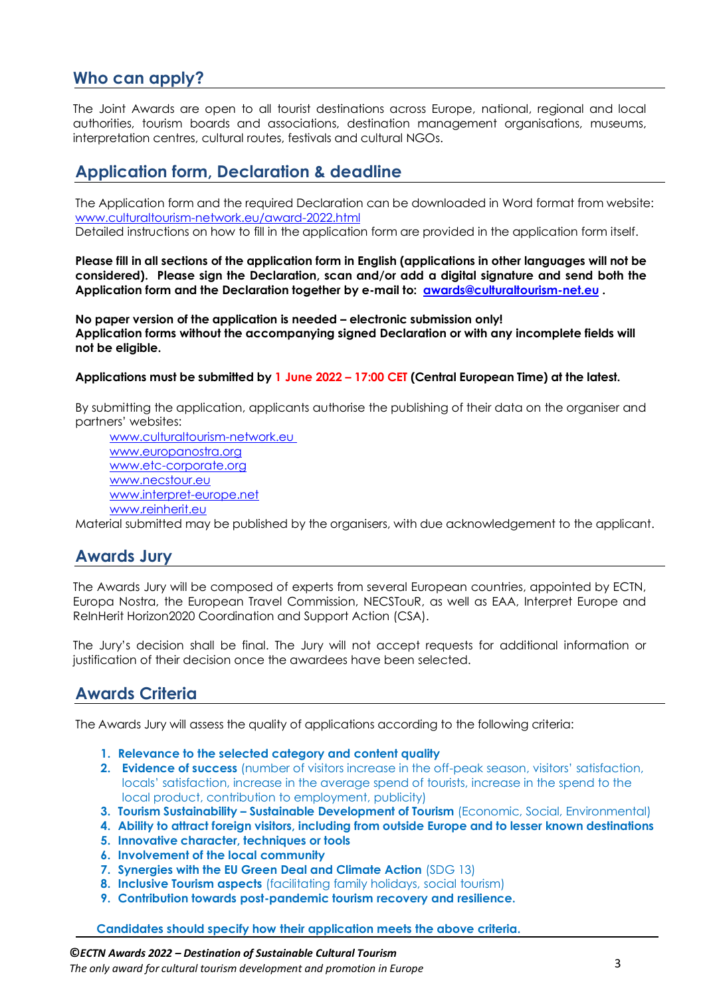## **Who can apply?**

The Joint Awards are open to all tourist destinations across Europe, national, regional and local authorities, tourism boards and associations, destination management organisations, museums, interpretation centres, cultural routes, festivals and cultural NGOs.

### **Application form, Declaration & deadline**

The Application form and the required Declaration can be downloaded in Word format from website: [www.culturaltourism-network.eu/award-2022.html](http://www.culturaltourism-network.eu/award-2022.html) Detailed instructions on how to fill in the application form are provided in the application form itself.

Please fill in all sections of the application form in English (applications in other languages will not be **considered). Please sign the Declaration, scan and/or add a digital signature and send both the Application form and the Declaration together by e-mail to: [awards@culturaltourism-net.eu](mailto:awards@culturaltourism-net.eu) .**

**No paper version of the application is needed – electronic submission only! Application forms without the accompanying signed Declaration or with any incomplete fields will not be eligible.**

#### **Applications must be submitted by 1 June 2022 – 17:00 CET (Central European Time) at the latest.**

By submitting the application, applicants authorise the publishing of their data on the organiser and partners' websites:

www.culturaltourism-network.eu [www.europanostra.org](http://www.europanostra.eu/) [www.etc-corporate.org](http://www.etc-corporate.org/) [www.necstour.eu](http://www.necstour.eu/) www.interpret-europe.net www.reinherit.eu

Material submitted may be published by the organisers, with due acknowledgement to the applicant.

## **Awards Jury**

The Awards Jury will be composed of experts from several European countries, appointed by ECTN, Europa Nostra, the European Travel Commission, NECSTouR, as well as EAA, Interpret Europe and ReInHerit Horizon2020 Coordination and Support Action (CSA).

The Jury's decision shall be final. The Jury will not accept requests for additional information or justification of their decision once the awardees have been selected.

#### **Awards Criteria**

The Awards Jury will assess the quality of applications according to the following criteria:

- **1. Relevance to the selected category and content quality**
- **2. Evidence of success** (number of visitors increase in the off-peak season, visitors' satisfaction, locals' satisfaction, increase in the average spend of tourists, increase in the spend to the local product, contribution to employment, publicity)
- **3. Tourism Sustainability – Sustainable Development of Tourism** (Economic, Social, Environmental)
- **4. Ability to attract foreign visitors, including from outside Europe and to lesser known destinations**
- **5. Innovative character, techniques or tools**
- **6. Involvement of the local community**
- **7. Synergies with the EU Green Deal and Climate Action** (SDG 13)
- **8. Inclusive Tourism aspects** (facilitating family holidays, social tourism)
- **9. Contribution towards post-pandemic tourism recovery and resilience.**

**Candidates should specify how their application meets the above criteria.**

#### **©***ECTN Awards 2022 – Destination of Sustainable Cultural Tourism The only award for cultural tourism development and promotion in Europe* 3